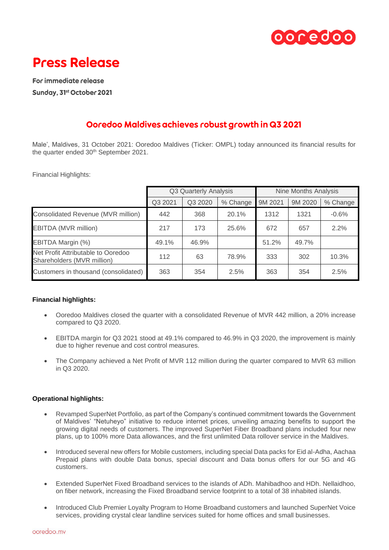



For immediate release Sunday, 31st October 2021

# Ooredoo Maldives achieves robust growth in Q3 2021

Male', Maldives, 31 October 2021: Ooredoo Maldives (Ticker: OMPL) today announced its financial results for the quarter ended 30<sup>th</sup> September 2021.

Financial Highlights:

|                                                                  | Q3 Quarterly Analysis |         |          | <b>Nine Months Analysis</b> |         |          |
|------------------------------------------------------------------|-----------------------|---------|----------|-----------------------------|---------|----------|
|                                                                  | Q3 2021               | Q3 2020 | % Change | 9M 2021                     | 9M 2020 | % Change |
| Consolidated Revenue (MVR million)                               | 442                   | 368     | 20.1%    | 1312                        | 1321    | $-0.6%$  |
| EBITDA (MVR million)                                             | 217                   | 173     | 25.6%    | 672                         | 657     | 2.2%     |
| EBITDA Margin (%)                                                | 49.1%                 | 46.9%   |          | 51.2%                       | 49.7%   |          |
| Net Profit Attributable to Ooredoo<br>Shareholders (MVR million) | 112                   | 63      | 78.9%    | 333                         | 302     | 10.3%    |
| Customers in thousand (consolidated)                             | 363                   | 354     | 2.5%     | 363                         | 354     | 2.5%     |

# **Financial highlights:**

- Ooredoo Maldives closed the quarter with a consolidated Revenue of MVR 442 million, a 20% increase compared to Q3 2020.
- EBITDA margin for Q3 2021 stood at 49.1% compared to 46.9% in Q3 2020, the improvement is mainly due to higher revenue and cost control measures.
- The Company achieved a Net Profit of MVR 112 million during the quarter compared to MVR 63 million in Q3 2020.

# **Operational highlights:**

- Revamped SuperNet Portfolio, as part of the Company's continued commitment towards the Government of Maldives' "Netuheyo" initiative to reduce internet prices, unveiling amazing benefits to support the growing digital needs of customers. The improved SuperNet Fiber Broadband plans included four new plans, up to 100% more Data allowances, and the first unlimited Data rollover service in the Maldives.
- Introduced several new offers for Mobile customers, including special Data packs for Eid al-Adha, Aachaa Prepaid plans with double Data bonus, special discount and Data bonus offers for our 5G and 4G customers.
- Extended SuperNet Fixed Broadband services to the islands of ADh. Mahibadhoo and HDh. Nellaidhoo, on fiber network, increasing the Fixed Broadband service footprint to a total of 38 inhabited islands.
- Introduced Club Premier Loyalty Program to Home Broadband customers and launched SuperNet Voice services, providing crystal clear landline services suited for home offices and small businesses.